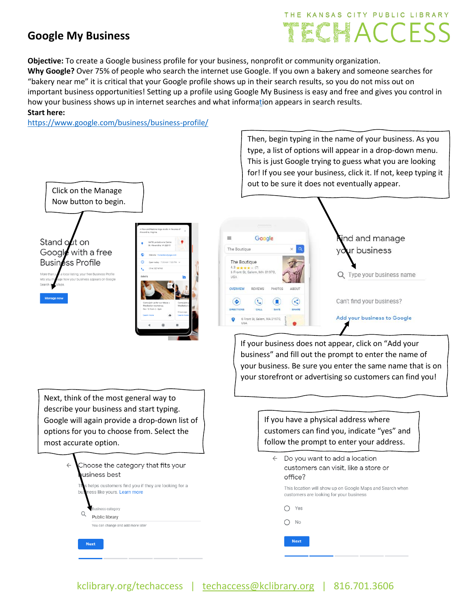### **Google My Business**

# THE KANSAS CITY PUBLIC LIBRARY **ECHACCESS**

Then, begin typing in the name of your business. As you type, a list of options will appear in a drop-down menu.

**Objective:** To create a Google business profile for your business, nonprofit or community organization. **Why Google?** Over 75% of people who search the internet use Google. If you own a bakery and someone searches for "bakery near me" it is critical that your Google profile shows up in their search results, so you do not miss out on important business opportunities! Setting up a profile using Google My Business is easy and free and gives you control in how your business shows up in internet searches and what inform[ati](https://www.google.com/business/business-profile/)on appears in search results. **Start here:** 

<https://www.google.com/business/business-profile/>



If your business does not appear, click on "Add your business" and fill out the prompt to enter the name of your business. Be sure you enter the same name that is on your storefront or advertising so customers can find you!

Next, think of the most general way to describe your business and start typing. Google will again provide a drop-down list of options for you to choose from. Select the most accurate option.



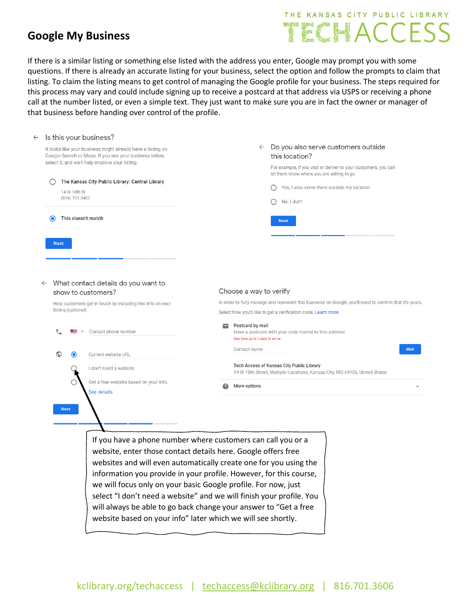#### **Google My Business**

## THE KANSAS CITY PUBLIC LIBRARY TECHACCESS

If there is a similar listing or something else listed with the address you enter, Google may prompt you with some questions. If there is already an accurate listing for your business, select the option and follow the prompts to claim that listing. To claim the listing means to get control of managing the Google profile for your business. The steps required for this process may vary and could include signing up to receive a postcard at that address via USPS or receiving a phone call at the number listed, or even a simple text. They just want to make sure you are in fact the owner or manager of that business before handing over control of the profile.

| $\leftarrow$ | Is this your business?                                                                                                                                        |                                                                                                                                                                          |                                                                                                                                                                         |                                                                                                                                                                       |
|--------------|---------------------------------------------------------------------------------------------------------------------------------------------------------------|--------------------------------------------------------------------------------------------------------------------------------------------------------------------------|-------------------------------------------------------------------------------------------------------------------------------------------------------------------------|-----------------------------------------------------------------------------------------------------------------------------------------------------------------------|
|              |                                                                                                                                                               | It looks like your business might already have a listing on<br>Google Search or Maps. If you see your business below,<br>select it, and we'll help improve your listing. | $\leftarrow$                                                                                                                                                            | Do you also serve customers outside<br>this location?<br>For example, if you visit or deliver to your customers, you can<br>let them know where you are willing to go |
|              |                                                                                                                                                               | The Kansas City Public Library: Central Library                                                                                                                          |                                                                                                                                                                         |                                                                                                                                                                       |
|              | 14 W 10th St<br>(816) 701-3401                                                                                                                                |                                                                                                                                                                          |                                                                                                                                                                         | Yes, I also serve them outside my location<br>No, I don't<br>◯                                                                                                        |
|              | ⊙                                                                                                                                                             | This doesn't match                                                                                                                                                       |                                                                                                                                                                         | <b>Next</b>                                                                                                                                                           |
|              | <b>Next</b>                                                                                                                                                   |                                                                                                                                                                          |                                                                                                                                                                         |                                                                                                                                                                       |
|              |                                                                                                                                                               |                                                                                                                                                                          |                                                                                                                                                                         |                                                                                                                                                                       |
|              | What contact details do you want to<br>$\leftarrow$<br>show to customers?<br>Help customers get in touch by including this info on your<br>listing (optional) |                                                                                                                                                                          | Choose a way to verify                                                                                                                                                  |                                                                                                                                                                       |
|              |                                                                                                                                                               |                                                                                                                                                                          | In order to fully manage and represent this business on Google, you'll need to confirm that it's yours.<br>Select how you'd like to get a verification code. Learn more |                                                                                                                                                                       |
|              |                                                                                                                                                               | Contact phone number                                                                                                                                                     | Postcard by mail<br>May take up to 5 days to arrive                                                                                                                     | Have a postcard with your code mailed to this address                                                                                                                 |
|              | $\odot$<br>$\bullet$                                                                                                                                          | Current website URL                                                                                                                                                      | Contact name                                                                                                                                                            | <b>Mail</b>                                                                                                                                                           |
|              |                                                                                                                                                               | I don't need a website                                                                                                                                                   |                                                                                                                                                                         | Tech Access of Kansas City Public Library<br>14 W 10th Street, Multiple Locations, Kansas City, MO 64105, United States                                               |
|              |                                                                                                                                                               | Get a free website based on your info.<br>See details                                                                                                                    | More options<br>Q                                                                                                                                                       |                                                                                                                                                                       |
|              | <b>Next</b>                                                                                                                                                   |                                                                                                                                                                          |                                                                                                                                                                         |                                                                                                                                                                       |
|              |                                                                                                                                                               |                                                                                                                                                                          |                                                                                                                                                                         |                                                                                                                                                                       |
|              |                                                                                                                                                               | If you have a phone number where customers can call you or a                                                                                                             |                                                                                                                                                                         |                                                                                                                                                                       |
|              |                                                                                                                                                               | website, enter those contact details here. Google offers free<br>websites and will even automatically create one for you using the                                       |                                                                                                                                                                         |                                                                                                                                                                       |
|              |                                                                                                                                                               | information vou provide in vour profile. However, for this course                                                                                                        |                                                                                                                                                                         |                                                                                                                                                                       |

information you provide in your profile. However, for this course, we will focus only on your basic Google profile. For now, just select "I don't need a website" and we will finish your profile. You will always be able to go back change your answer to "Get a free website based on your info" later which we will see shortly.